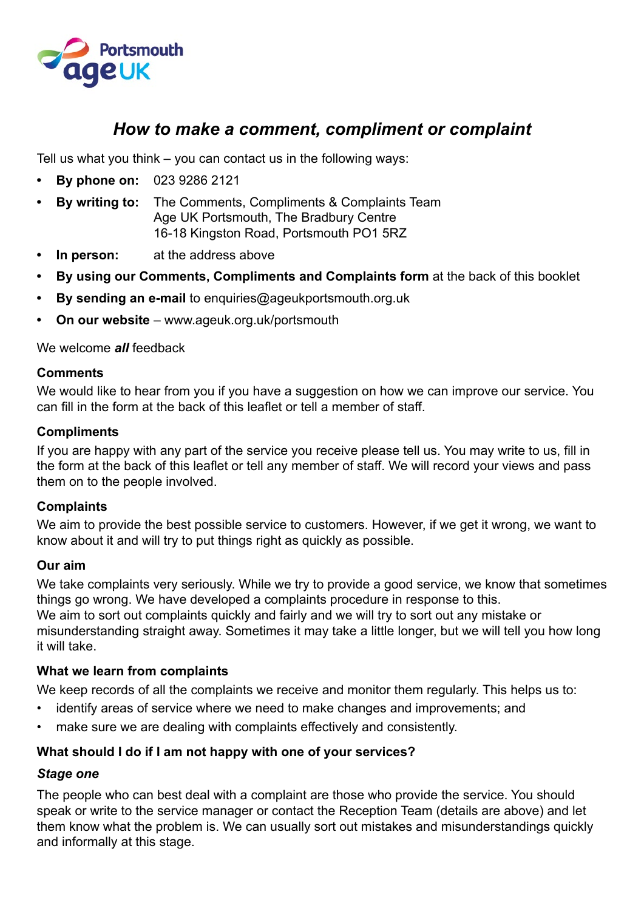

## *How to make a comment, compliment or complaint*

Tell us what you think – you can contact us in the following ways:

- **• By phone on:** 023 9286 2121
- **• By writing to:** The Comments, Compliments & Complaints Team Age UK Portsmouth, The Bradbury Centre 16-18 Kingston Road, Portsmouth PO1 5RZ
- **In person:** at the address above
- **• By using our Comments, Compliments and Complaints form** at the back of this booklet
- **• By sending an e-mail** to enquiries@ageukportsmouth.org.uk
- **• On our website** www.ageuk.org.uk/portsmouth

We welcome *all* feedback

#### **Comments**

We would like to hear from you if you have a suggestion on how we can improve our service. You can fill in the form at the back of this leaflet or tell a member of staff.

#### **Compliments**

If you are happy with any part of the service you receive please tell us. You may write to us, fill in the form at the back of this leaflet or tell any member of staff. We will record your views and pass them on to the people involved.

#### **Complaints**

We aim to provide the best possible service to customers. However, if we get it wrong, we want to know about it and will try to put things right as quickly as possible.

#### **Our aim**

We take complaints very seriously. While we try to provide a good service, we know that sometimes things go wrong. We have developed a complaints procedure in response to this. We aim to sort out complaints quickly and fairly and we will try to sort out any mistake or misunderstanding straight away. Sometimes it may take a little longer, but we will tell you how long it will take.

### **What we learn from complaints**

We keep records of all the complaints we receive and monitor them regularly. This helps us to:

- identify areas of service where we need to make changes and improvements; and
- make sure we are dealing with complaints effectively and consistently.

### **What should I do if I am not happy with one of your services?**

#### *Stage one*

The people who can best deal with a complaint are those who provide the service. You should speak or write to the service manager or contact the Reception Team (details are above) and let them know what the problem is. We can usually sort out mistakes and misunderstandings quickly and informally at this stage.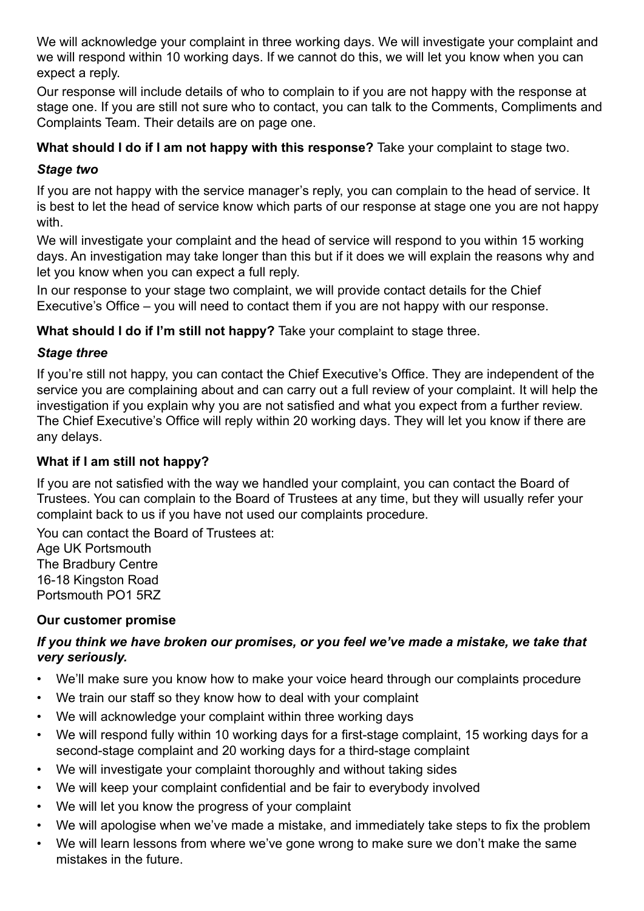We will acknowledge your complaint in three working days. We will investigate your complaint and we will respond within 10 working days. If we cannot do this, we will let you know when you can expect a reply.

Our response will include details of who to complain to if you are not happy with the response at stage one. If you are still not sure who to contact, you can talk to the Comments, Compliments and Complaints Team. Their details are on page one.

### **What should I do if I am not happy with this response?** Take your complaint to stage two.

### *Stage two*

If you are not happy with the service manager's reply, you can complain to the head of service. It is best to let the head of service know which parts of our response at stage one you are not happy with.

We will investigate your complaint and the head of service will respond to you within 15 working days. An investigation may take longer than this but if it does we will explain the reasons why and let you know when you can expect a full reply.

In our response to your stage two complaint, we will provide contact details for the Chief Executive's Office – you will need to contact them if you are not happy with our response.

**What should I do if I'm still not happy?** Take your complaint to stage three.

### *Stage three*

If you're still not happy, you can contact the Chief Executive's Office. They are independent of the service you are complaining about and can carry out a full review of your complaint. It will help the investigation if you explain why you are not satisfied and what you expect from a further review. The Chief Executive's Office will reply within 20 working days. They will let you know if there are any delays.

### **What if I am still not happy?**

If you are not satisfied with the way we handled your complaint, you can contact the Board of Trustees. You can complain to the Board of Trustees at any time, but they will usually refer your complaint back to us if you have not used our complaints procedure.

You can contact the Board of Trustees at:

Age UK Portsmouth The Bradbury Centre 16-18 Kingston Road Portsmouth PO1 5RZ

### **Our customer promise**

### *If you think we have broken our promises, or you feel we've made a mistake, we take that very seriously.*

- We'll make sure you know how to make your voice heard through our complaints procedure
- We train our staff so they know how to deal with your complaint
- We will acknowledge your complaint within three working days
- We will respond fully within 10 working days for a first-stage complaint, 15 working days for a second-stage complaint and 20 working days for a third-stage complaint
- We will investigate your complaint thoroughly and without taking sides
- We will keep your complaint confidential and be fair to everybody involved
- We will let you know the progress of your complaint
- We will apologise when we've made a mistake, and immediately take steps to fix the problem
- We will learn lessons from where we've gone wrong to make sure we don't make the same mistakes in the future.